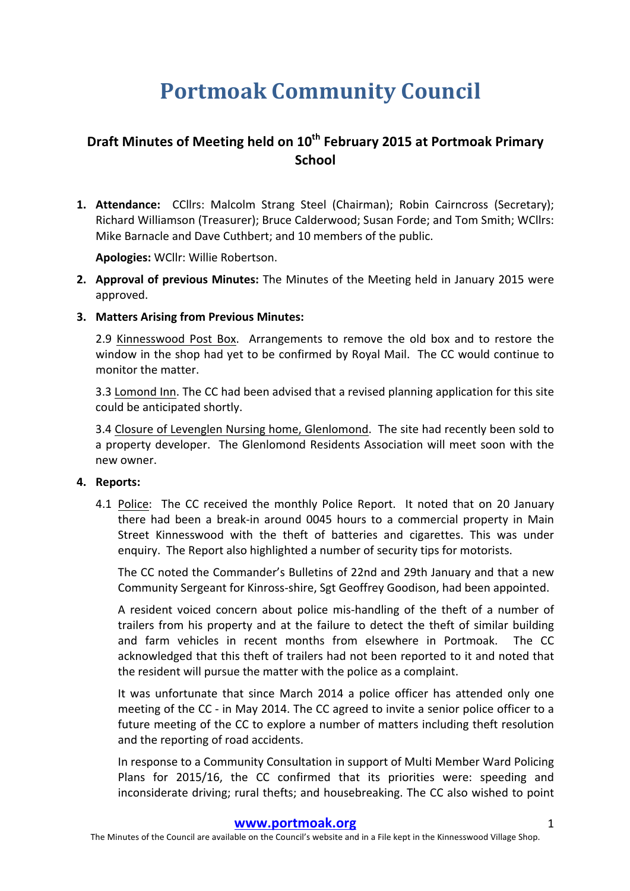# **Portmoak Community Council**

# **Draft Minutes of Meeting held on 10<sup>th</sup> February 2015 at Portmoak Primary School**

**1. Attendance:** CCllrs: Malcolm Strang Steel (Chairman); Robin Cairncross (Secretary); Richard Williamson (Treasurer); Bruce Calderwood; Susan Forde; and Tom Smith; WCllrs: Mike Barnacle and Dave Cuthbert; and 10 members of the public.

**Apologies: WCllr: Willie Robertson.** 

- **2. Approval of previous Minutes:** The Minutes of the Meeting held in January 2015 were approved.
- **3. Matters Arising from Previous Minutes:**

2.9 Kinnesswood Post Box. Arrangements to remove the old box and to restore the window in the shop had yet to be confirmed by Royal Mail. The CC would continue to monitor the matter.

3.3 Lomond Inn. The CC had been advised that a revised planning application for this site could be anticipated shortly.

3.4 Closure of Levenglen Nursing home, Glenlomond. The site had recently been sold to a property developer. The Glenlomond Residents Association will meet soon with the new owner.

#### **4.** Reports:

4.1 Police: The CC received the monthly Police Report. It noted that on 20 January there had been a break-in around 0045 hours to a commercial property in Main Street Kinnesswood with the theft of batteries and cigarettes. This was under enquiry. The Report also highlighted a number of security tips for motorists.

The CC noted the Commander's Bulletins of 22nd and 29th January and that a new Community Sergeant for Kinross-shire, Sgt Geoffrey Goodison, had been appointed.

A resident voiced concern about police mis-handling of the theft of a number of trailers from his property and at the failure to detect the theft of similar building and farm vehicles in recent months from elsewhere in Portmoak. The CC acknowledged that this theft of trailers had not been reported to it and noted that the resident will pursue the matter with the police as a complaint.

It was unfortunate that since March 2014 a police officer has attended only one meeting of the CC - in May 2014. The CC agreed to invite a senior police officer to a future meeting of the CC to explore a number of matters including theft resolution and the reporting of road accidents.

In response to a Community Consultation in support of Multi Member Ward Policing Plans for 2015/16, the CC confirmed that its priorities were: speeding and inconsiderate driving; rural thefts; and housebreaking. The CC also wished to point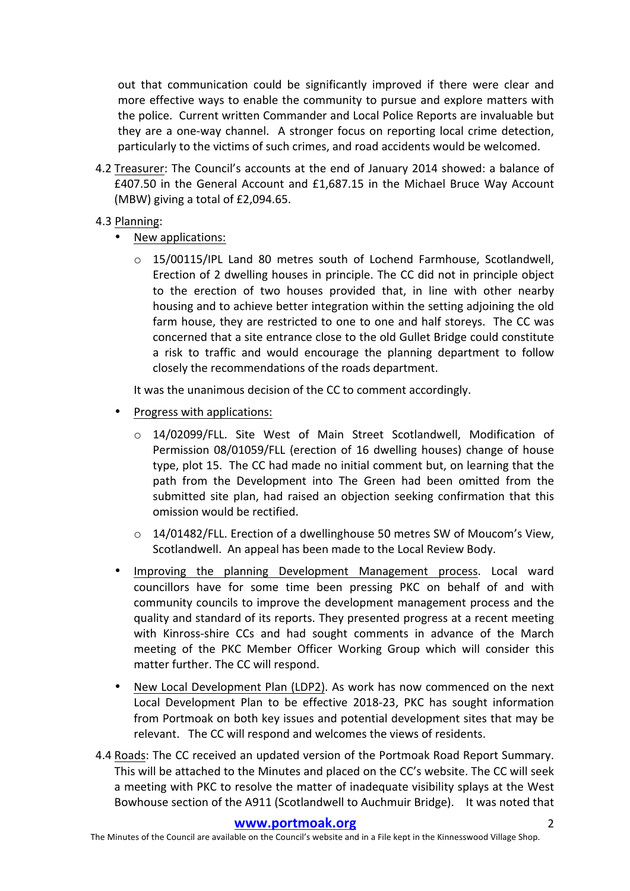out that communication could be significantly improved if there were clear and more effective ways to enable the community to pursue and explore matters with the police. Current written Commander and Local Police Reports are invaluable but they are a one-way channel. A stronger focus on reporting local crime detection, particularly to the victims of such crimes, and road accidents would be welcomed.

- 4.2 Treasurer: The Council's accounts at the end of January 2014 showed: a balance of  $£407.50$  in the General Account and  $£1,687.15$  in the Michael Bruce Way Account (MBW) giving a total of  $£2,094.65$ .
- 4.3 Planning:
	- New applications:
		- o 15/00115/IPL Land 80 metres south of Lochend Farmhouse, Scotlandwell, Erection of 2 dwelling houses in principle. The CC did not in principle object to the erection of two houses provided that, in line with other nearby housing and to achieve better integration within the setting adjoining the old farm house, they are restricted to one to one and half storeys. The CC was concerned that a site entrance close to the old Gullet Bridge could constitute a risk to traffic and would encourage the planning department to follow closely the recommendations of the roads department.

It was the unanimous decision of the CC to comment accordingly.

- Progress with applications:
	- o 14/02099/FLL. Site West of Main Street Scotlandwell, Modification of Permission 08/01059/FLL (erection of 16 dwelling houses) change of house type, plot 15. The CC had made no initial comment but, on learning that the path from the Development into The Green had been omitted from the submitted site plan, had raised an objection seeking confirmation that this omission would be rectified.
	- $\circ$  14/01482/FLL. Erection of a dwellinghouse 50 metres SW of Moucom's View, Scotlandwell. An appeal has been made to the Local Review Body.
- Improving the planning Development Management process. Local ward councillors have for some time been pressing PKC on behalf of and with community councils to improve the development management process and the quality and standard of its reports. They presented progress at a recent meeting with Kinross-shire CCs and had sought comments in advance of the March meeting of the PKC Member Officer Working Group which will consider this matter further. The CC will respond.
- New Local Development Plan (LDP2). As work has now commenced on the next Local Development Plan to be effective 2018-23, PKC has sought information from Portmoak on both key issues and potential development sites that may be relevant. The CC will respond and welcomes the views of residents.
- 4.4 Roads: The CC received an updated version of the Portmoak Road Report Summary. This will be attached to the Minutes and placed on the CC's website. The CC will seek a meeting with PKC to resolve the matter of inadequate visibility splays at the West Bowhouse section of the A911 (Scotlandwell to Auchmuir Bridge). It was noted that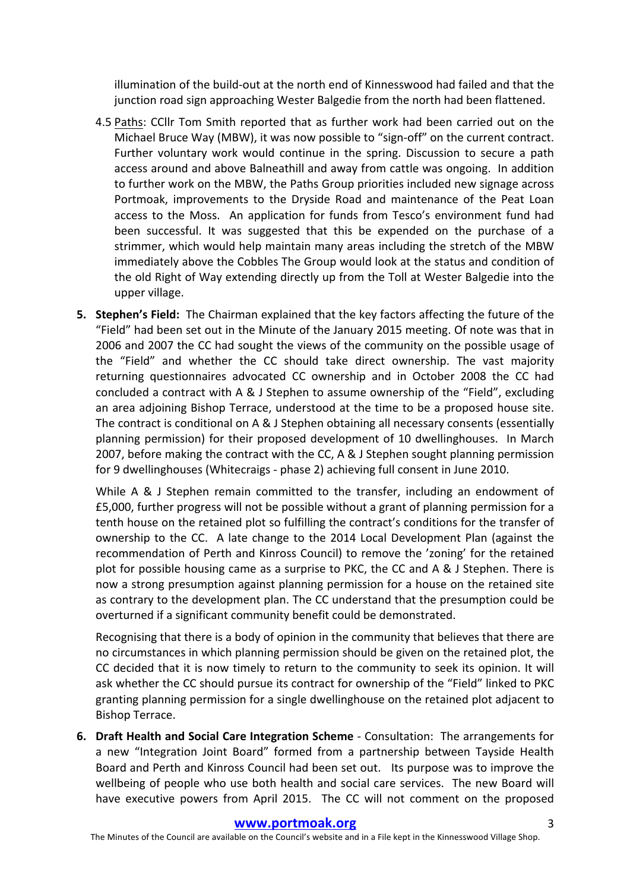illumination of the build-out at the north end of Kinnesswood had failed and that the junction road sign approaching Wester Balgedie from the north had been flattened.

- 4.5 Paths: CCllr Tom Smith reported that as further work had been carried out on the Michael Bruce Way (MBW), it was now possible to "sign-off" on the current contract. Further voluntary work would continue in the spring. Discussion to secure a path access around and above Balneathill and away from cattle was ongoing. In addition to further work on the MBW, the Paths Group priorities included new signage across Portmoak, improvements to the Dryside Road and maintenance of the Peat Loan access to the Moss. An application for funds from Tesco's environment fund had been successful. It was suggested that this be expended on the purchase of a strimmer, which would help maintain many areas including the stretch of the MBW immediately above the Cobbles The Group would look at the status and condition of the old Right of Way extending directly up from the Toll at Wester Balgedie into the upper village.
- **5. Stephen's Field:** The Chairman explained that the key factors affecting the future of the "Field" had been set out in the Minute of the January 2015 meeting. Of note was that in 2006 and 2007 the CC had sought the views of the community on the possible usage of the "Field" and whether the CC should take direct ownership. The vast majority returning questionnaires advocated CC ownership and in October 2008 the CC had concluded a contract with A & J Stephen to assume ownership of the "Field", excluding an area adjoining Bishop Terrace, understood at the time to be a proposed house site. The contract is conditional on A & J Stephen obtaining all necessary consents (essentially planning permission) for their proposed development of 10 dwellinghouses. In March 2007, before making the contract with the CC, A & J Stephen sought planning permission for 9 dwellinghouses (Whitecraigs - phase 2) achieving full consent in June 2010.

While A & J Stephen remain committed to the transfer, including an endowment of £5,000, further progress will not be possible without a grant of planning permission for a tenth house on the retained plot so fulfilling the contract's conditions for the transfer of ownership to the CC. A late change to the 2014 Local Development Plan (against the recommendation of Perth and Kinross Council) to remove the 'zoning' for the retained plot for possible housing came as a surprise to PKC, the CC and A & J Stephen. There is now a strong presumption against planning permission for a house on the retained site as contrary to the development plan. The CC understand that the presumption could be overturned if a significant community benefit could be demonstrated.

Recognising that there is a body of opinion in the community that believes that there are no circumstances in which planning permission should be given on the retained plot, the CC decided that it is now timely to return to the community to seek its opinion. It will ask whether the CC should pursue its contract for ownership of the "Field" linked to PKC granting planning permission for a single dwellinghouse on the retained plot adjacent to Bishop Terrace.

**6.** Draft Health and Social Care Integration Scheme - Consultation: The arrangements for a new "Integration Joint Board" formed from a partnership between Tayside Health Board and Perth and Kinross Council had been set out. Its purpose was to improve the wellbeing of people who use both health and social care services. The new Board will have executive powers from April 2015. The CC will not comment on the proposed